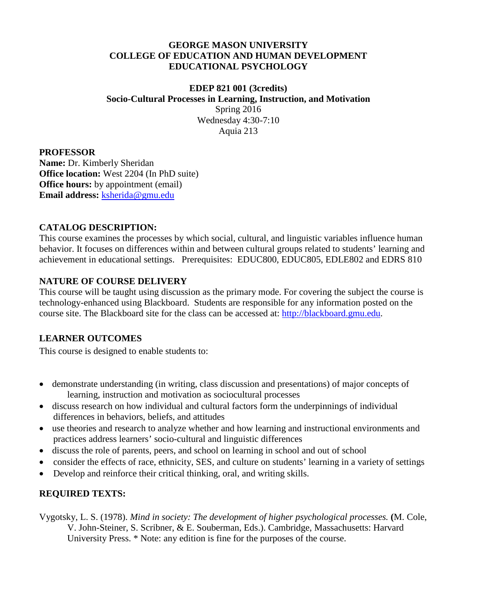#### **GEORGE MASON UNIVERSITY COLLEGE OF EDUCATION AND HUMAN DEVELOPMENT EDUCATIONAL PSYCHOLOGY**

#### **EDEP 821 001 (3credits) Socio-Cultural Processes in Learning, Instruction, and Motivation** Spring 2016 Wednesday 4:30-7:10 Aquia 213

#### **PROFESSOR**

**Name:** Dr. Kimberly Sheridan **Office location:** West 2204 (In PhD suite) **Office hours:** by appointment (email) **Email address:** [ksherida@gmu.edu](mailto:ksherida@gmu.edu)

# **CATALOG DESCRIPTION:**

This course examines the processes by which social, cultural, and linguistic variables influence human behavior. It focuses on differences within and between cultural groups related to students' learning and achievement in educational settings. Prerequisites: EDUC800, EDUC805, EDLE802 and EDRS 810

# **NATURE OF COURSE DELIVERY**

This course will be taught using discussion as the primary mode. For covering the subject the course is technology-enhanced using Blackboard. Students are responsible for any information posted on the course site. The Blackboard site for the class can be accessed at: [http://blackboard.gmu.edu.](http://blackboard.gmu.edu/)

## **LEARNER OUTCOMES**

This course is designed to enable students to:

- demonstrate understanding (in writing, class discussion and presentations) of major concepts of learning, instruction and motivation as sociocultural processes
- discuss research on how individual and cultural factors form the underpinnings of individual differences in behaviors, beliefs, and attitudes
- use theories and research to analyze whether and how learning and instructional environments and practices address learners' socio-cultural and linguistic differences
- discuss the role of parents, peers, and school on learning in school and out of school
- consider the effects of race, ethnicity, SES, and culture on students' learning in a variety of settings
- Develop and reinforce their critical thinking, oral, and writing skills.

# **REQUIRED TEXTS:**

Vygotsky, L. S. (1978). *Mind in society: The development of higher psychological processes.* **(**M. Cole, V. John-Steiner, S. Scribner, & E. Souberman, Eds.). Cambridge, Massachusetts: Harvard University Press. \* Note: any edition is fine for the purposes of the course.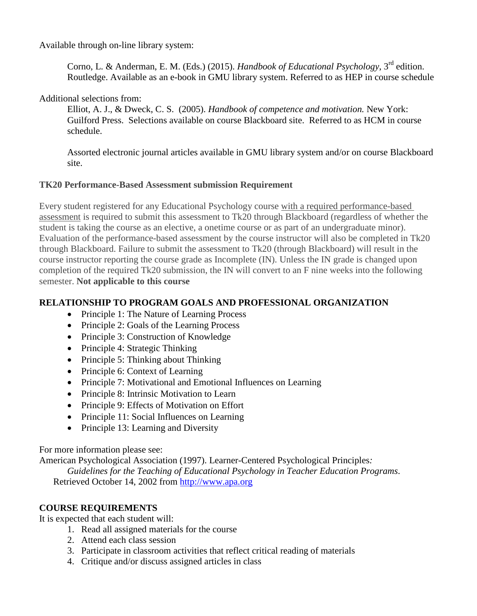Available through on-line library system:

Corno, L. & Anderman, E. M. (Eds.) (2015). *Handbook of Educational Psychology*, 3rd edition. Routledge. Available as an e-book in GMU library system. Referred to as HEP in course schedule

Additional selections from:

Elliot, A. J., & Dweck, C. S. (2005). *Handbook of competence and motivation.* New York: Guilford Press. Selections available on course Blackboard site. Referred to as HCM in course schedule.

Assorted electronic journal articles available in GMU library system and/or on course Blackboard site.

#### **TK20 Performance-Based Assessment submission Requirement**

Every student registered for any Educational Psychology course with a required performance-based assessment is required to submit this assessment to Tk20 through Blackboard (regardless of whether the student is taking the course as an elective, a onetime course or as part of an undergraduate minor). Evaluation of the performance-based assessment by the course instructor will also be completed in Tk20 through Blackboard. Failure to submit the assessment to Tk20 (through Blackboard) will result in the course instructor reporting the course grade as Incomplete (IN). Unless the IN grade is changed upon completion of the required Tk20 submission, the IN will convert to an F nine weeks into the following semester. **Not applicable to this course**

# **RELATIONSHIP TO PROGRAM GOALS AND PROFESSIONAL ORGANIZATION**

- Principle 1: The Nature of Learning Process
- Principle 2: Goals of the Learning Process
- Principle 3: Construction of Knowledge
- Principle 4: Strategic Thinking
- Principle 5: Thinking about Thinking
- Principle 6: Context of Learning
- Principle 7: Motivational and Emotional Influences on Learning
- Principle 8: Intrinsic Motivation to Learn
- Principle 9: Effects of Motivation on Effort
- Principle 11: Social Influences on Learning
- Principle 13: Learning and Diversity

For more information please see:

American Psychological Association (1997). Learner-Centered Psychological Principles*:*

*Guidelines for the Teaching of Educational Psychology in Teacher Education Programs*.

Retrieved October 14, 2002 from [http://www.apa.org](http://www.apa.org/)

## **COURSE REQUIREMENTS**

It is expected that each student will:

- 1. Read all assigned materials for the course
- 2. Attend each class session
- 3. Participate in classroom activities that reflect critical reading of materials
- 4. Critique and/or discuss assigned articles in class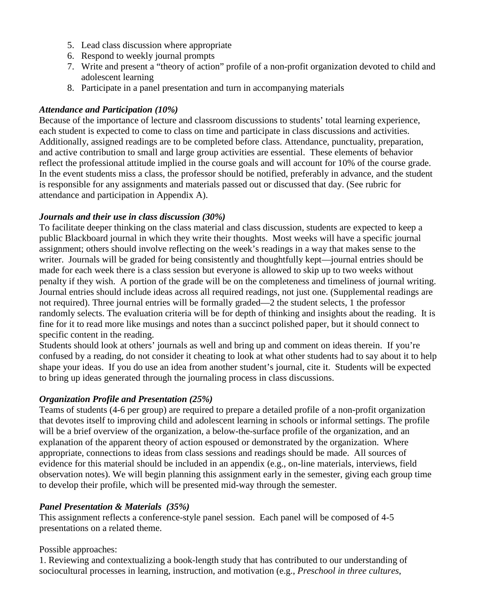- 5. Lead class discussion where appropriate
- 6. Respond to weekly journal prompts
- 7. Write and present a "theory of action" profile of a non-profit organization devoted to child and adolescent learning
- 8. Participate in a panel presentation and turn in accompanying materials

### *Attendance and Participation (10%)*

Because of the importance of lecture and classroom discussions to students' total learning experience, each student is expected to come to class on time and participate in class discussions and activities. Additionally, assigned readings are to be completed before class. Attendance, punctuality, preparation, and active contribution to small and large group activities are essential. These elements of behavior reflect the professional attitude implied in the course goals and will account for 10% of the course grade. In the event students miss a class, the professor should be notified, preferably in advance, and the student is responsible for any assignments and materials passed out or discussed that day. (See rubric for attendance and participation in Appendix A).

#### *Journals and their use in class discussion (30%)*

To facilitate deeper thinking on the class material and class discussion, students are expected to keep a public Blackboard journal in which they write their thoughts. Most weeks will have a specific journal assignment; others should involve reflecting on the week's readings in a way that makes sense to the writer. Journals will be graded for being consistently and thoughtfully kept—journal entries should be made for each week there is a class session but everyone is allowed to skip up to two weeks without penalty if they wish. A portion of the grade will be on the completeness and timeliness of journal writing. Journal entries should include ideas across all required readings, not just one. (Supplemental readings are not required). Three journal entries will be formally graded—2 the student selects, 1 the professor randomly selects. The evaluation criteria will be for depth of thinking and insights about the reading. It is fine for it to read more like musings and notes than a succinct polished paper, but it should connect to specific content in the reading.

Students should look at others' journals as well and bring up and comment on ideas therein. If you're confused by a reading, do not consider it cheating to look at what other students had to say about it to help shape your ideas. If you do use an idea from another student's journal, cite it. Students will be expected to bring up ideas generated through the journaling process in class discussions.

## *Organization Profile and Presentation (25%)*

Teams of students (4-6 per group) are required to prepare a detailed profile of a non-profit organization that devotes itself to improving child and adolescent learning in schools or informal settings. The profile will be a brief overview of the organization, a below-the-surface profile of the organization, and an explanation of the apparent theory of action espoused or demonstrated by the organization. Where appropriate, connections to ideas from class sessions and readings should be made. All sources of evidence for this material should be included in an appendix (e.g., on-line materials, interviews, field observation notes). We will begin planning this assignment early in the semester, giving each group time to develop their profile, which will be presented mid-way through the semester.

## *Panel Presentation & Materials (35%)*

This assignment reflects a conference-style panel session. Each panel will be composed of 4-5 presentations on a related theme.

#### Possible approaches:

1. Reviewing and contextualizing a book-length study that has contributed to our understanding of sociocultural processes in learning, instruction, and motivation (e.g., *Preschool in three cultures*,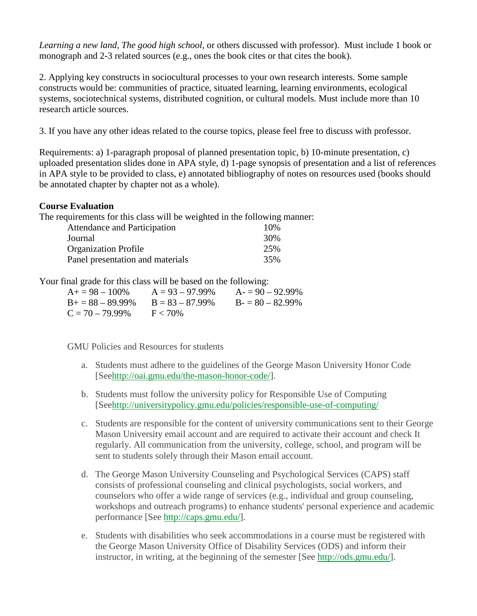*Learning a new land, The good high school*, or others discussed with professor). Must include 1 book or monograph and 2-3 related sources (e.g., ones the book cites or that cites the book).

2. Applying key constructs in sociocultural processes to your own research interests. Some sample constructs would be: communities of practice, situated learning, learning environments, ecological systems, sociotechnical systems, distributed cognition, or cultural models. Must include more than 10 research article sources.

3. If you have any other ideas related to the course topics, please feel free to discuss with professor.

Requirements: a) 1-paragraph proposal of planned presentation topic, b) 10-minute presentation, c) uploaded presentation slides done in APA style, d) 1-page synopsis of presentation and a list of references in APA style to be provided to class, e) annotated bibliography of notes on resources used (books should be annotated chapter by chapter not as a whole).

#### **Course Evaluation**

The requirements for this class will be weighted in the following manner:

| <b>Attendance and Participation</b> | 10% |
|-------------------------------------|-----|
| Journal                             | 30% |
| <b>Organization Profile</b>         | 25% |
| Panel presentation and materials    | 35% |

Your final grade for this class will be based on the following:

| $A+=98-100\%$          | $A = 93 - 97.99\%$ | $A = 90 - 92.99\%$ |
|------------------------|--------------------|--------------------|
| $B_{+} = 88 - 89.99\%$ | $B = 83 - 87.99\%$ | $B = 80 - 82.99\%$ |
| $C = 70 - 79.99\%$     | $F < 70\%$         |                    |

GMU Policies and Resources for students

- a. Students must adhere to the guidelines of the George Mason University Honor Code [Se[ehttp://oai.gmu.edu/the-mason-honor-code/\]](http://oai.gmu.edu/the-mason-honor-code/).
- b. Students must follow the university policy for Responsible Use of Computing [Se[ehttp://universitypolicy.gmu.edu/policies/responsible-use-of-computing/](http://universitypolicy.gmu.edu/policies/responsible-use-of-computing/)
- c. Students are responsible for the content of university communications sent to their George Mason University email account and are required to activate their account and check It regularly. All communication from the university, college, school, and program will be sent to students solely through their Mason email account.
- d. The George Mason University Counseling and Psychological Services (CAPS) staff consists of professional counseling and clinical psychologists, social workers, and counselors who offer a wide range of services (e.g., individual and group counseling, workshops and outreach programs) to enhance students' personal experience and academic performance [See [http://caps.gmu.edu/\]](http://caps.gmu.edu/).
- e. Students with disabilities who seek accommodations in a course must be registered with the George Mason University Office of Disability Services (ODS) and inform their instructor, in writing, at the beginning of the semester [See [http://ods.gmu.edu/\]](http://ods.gmu.edu/).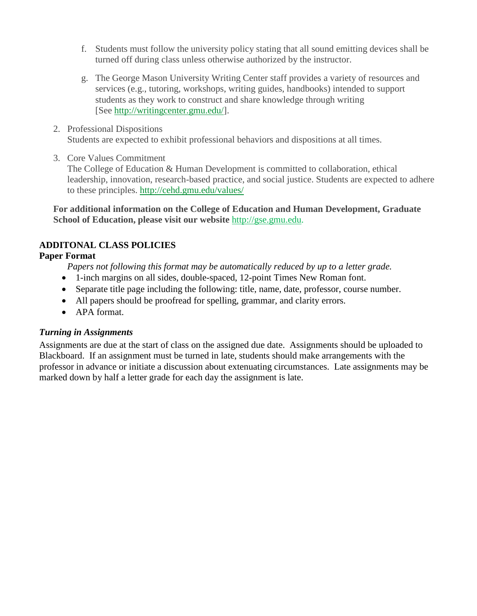- f. Students must follow the university policy stating that all sound emitting devices shall be turned off during class unless otherwise authorized by the instructor.
- g. The George Mason University Writing Center staff provides a variety of resources and services (e.g., tutoring, workshops, writing guides, handbooks) intended to support students as they work to construct and share knowledge through writing [See [http://writingcenter.gmu.edu/\]](http://writingcenter.gmu.edu/).
- 2. Professional Dispositions Students are expected to exhibit professional behaviors and dispositions at all times.
- 3. Core Values Commitment

The College of Education & Human Development is committed to collaboration, ethical leadership, innovation, research-based practice, and social justice. Students are expected to adhere to these principles. <http://cehd.gmu.edu/values/>

**For additional information on the College of Education and Human Development, Graduate School of Education, please visit our website** [http://gse.gmu.edu.](http://gse.gmu.edu/)

# **ADDITONAL CLASS POLICIES**

# **Paper Format**

*Papers not following this format may be automatically reduced by up to a letter grade.*

- 1-inch margins on all sides, double-spaced, 12-point Times New Roman font.
- Separate title page including the following: title, name, date, professor, course number.
- All papers should be proofread for spelling, grammar, and clarity errors.
- APA format.

## *Turning in Assignments*

Assignments are due at the start of class on the assigned due date. Assignments should be uploaded to Blackboard. If an assignment must be turned in late, students should make arrangements with the professor in advance or initiate a discussion about extenuating circumstances. Late assignments may be marked down by half a letter grade for each day the assignment is late.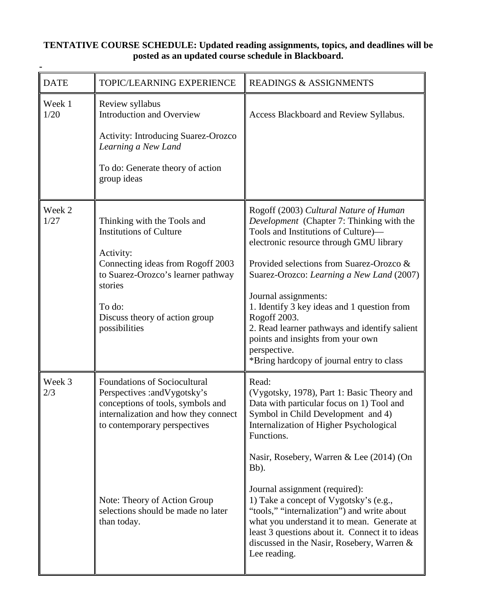## **TENTATIVE COURSE SCHEDULE: Updated reading assignments, topics, and deadlines will be posted as an updated course schedule in Blackboard.**

**-**

| <b>DATE</b>    | TOPIC/LEARNING EXPERIENCE                                                                                                                                                                                                                                              | <b>READINGS &amp; ASSIGNMENTS</b>                                                                                                                                                                                                                                                                                                                                                                                                                                                                                                              |
|----------------|------------------------------------------------------------------------------------------------------------------------------------------------------------------------------------------------------------------------------------------------------------------------|------------------------------------------------------------------------------------------------------------------------------------------------------------------------------------------------------------------------------------------------------------------------------------------------------------------------------------------------------------------------------------------------------------------------------------------------------------------------------------------------------------------------------------------------|
| Week 1<br>1/20 | Review syllabus<br><b>Introduction and Overview</b><br><b>Activity: Introducing Suarez-Orozco</b><br>Learning a New Land<br>To do: Generate theory of action<br>group ideas                                                                                            | Access Blackboard and Review Syllabus.                                                                                                                                                                                                                                                                                                                                                                                                                                                                                                         |
| Week 2<br>1/27 | Thinking with the Tools and<br><b>Institutions of Culture</b><br>Activity:<br>Connecting ideas from Rogoff 2003<br>to Suarez-Orozco's learner pathway<br>stories<br>To do:<br>Discuss theory of action group<br>possibilities                                          | Rogoff (2003) Cultural Nature of Human<br>Development (Chapter 7: Thinking with the<br>Tools and Institutions of Culture)-<br>electronic resource through GMU library<br>Provided selections from Suarez-Orozco &<br>Suarez-Orozco: Learning a New Land (2007)<br>Journal assignments:<br>1. Identify 3 key ideas and 1 question from<br>Rogoff 2003.<br>2. Read learner pathways and identify salient<br>points and insights from your own<br>perspective.<br>*Bring hardcopy of journal entry to class                                       |
| Week 3<br>2/3  | <b>Foundations of Sociocultural</b><br>Perspectives : and Vygotsky's<br>conceptions of tools, symbols and<br>internalization and how they connect<br>to contemporary perspectives<br>Note: Theory of Action Group<br>selections should be made no later<br>than today. | Read:<br>(Vygotsky, 1978), Part 1: Basic Theory and<br>Data with particular focus on 1) Tool and<br>Symbol in Child Development and 4)<br>Internalization of Higher Psychological<br>Functions.<br>Nasir, Rosebery, Warren & Lee (2014) (On<br>Bb).<br>Journal assignment (required):<br>1) Take a concept of Vygotsky's (e.g.,<br>"tools," "internalization") and write about<br>what you understand it to mean. Generate at<br>least 3 questions about it. Connect it to ideas<br>discussed in the Nasir, Rosebery, Warren &<br>Lee reading. |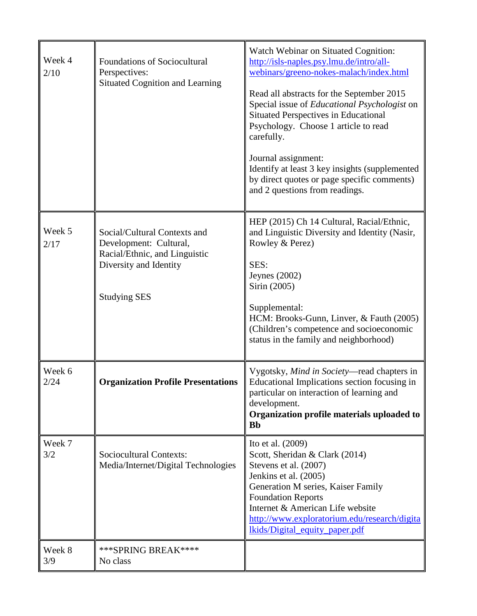| Week 4<br>2/10 | <b>Foundations of Sociocultural</b><br>Perspectives:<br><b>Situated Cognition and Learning</b>                                           | Watch Webinar on Situated Cognition:<br>http://isls-naples.psy.lmu.de/intro/all-<br>webinars/greeno-nokes-malach/index.html<br>Read all abstracts for the September 2015<br>Special issue of Educational Psychologist on<br><b>Situated Perspectives in Educational</b><br>Psychology. Choose 1 article to read<br>carefully.<br>Journal assignment:<br>Identify at least 3 key insights (supplemented<br>by direct quotes or page specific comments)<br>and 2 questions from readings. |
|----------------|------------------------------------------------------------------------------------------------------------------------------------------|-----------------------------------------------------------------------------------------------------------------------------------------------------------------------------------------------------------------------------------------------------------------------------------------------------------------------------------------------------------------------------------------------------------------------------------------------------------------------------------------|
| Week 5<br>2/17 | Social/Cultural Contexts and<br>Development: Cultural,<br>Racial/Ethnic, and Linguistic<br>Diversity and Identity<br><b>Studying SES</b> | HEP (2015) Ch 14 Cultural, Racial/Ethnic,<br>and Linguistic Diversity and Identity (Nasir,<br>Rowley & Perez)<br>SES:<br>Jeynes $(2002)$<br>Sirin (2005)<br>Supplemental:<br>HCM: Brooks-Gunn, Linver, & Fauth (2005)<br>(Children's competence and socioeconomic<br>status in the family and neighborhood)                                                                                                                                                                             |
| Week 6<br>2/24 | <b>Organization Profile Presentations</b>                                                                                                | Vygotsky, Mind in Society—read chapters in<br>Educational Implications section focusing in<br>particular on interaction of learning and<br>development.<br>Organization profile materials uploaded to<br><b>Bb</b>                                                                                                                                                                                                                                                                      |
| Week 7<br>3/2  | Sociocultural Contexts:<br>Media/Internet/Digital Technologies                                                                           | Ito et al. (2009)<br>Scott, Sheridan & Clark (2014)<br>Stevens et al. (2007)<br>Jenkins et al. (2005)<br>Generation M series, Kaiser Family<br><b>Foundation Reports</b><br>Internet & American Life website<br>http://www.exploratorium.edu/research/digita<br>lkids/Digital_equity_paper.pdf                                                                                                                                                                                          |
| Week 8<br>3/9  | *** SPRING BREAK****<br>No class                                                                                                         |                                                                                                                                                                                                                                                                                                                                                                                                                                                                                         |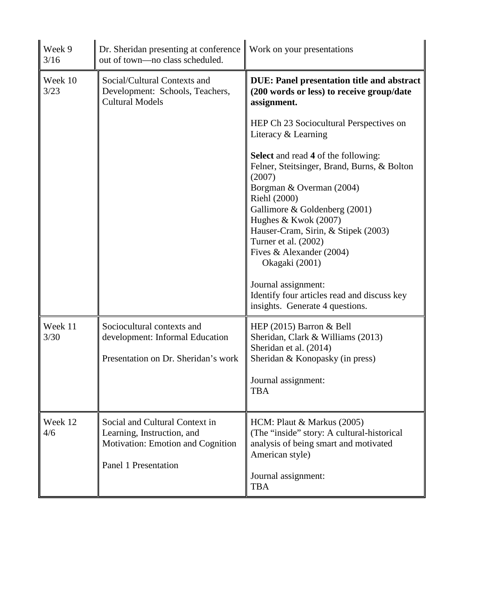| Week 9<br>3/16  | Dr. Sheridan presenting at conference<br>out of town-no class scheduled.                                                  | Work on your presentations                                                                                                                                                                                                                                                                                                                                                                                                                                                                                                                                                                                        |  |
|-----------------|---------------------------------------------------------------------------------------------------------------------------|-------------------------------------------------------------------------------------------------------------------------------------------------------------------------------------------------------------------------------------------------------------------------------------------------------------------------------------------------------------------------------------------------------------------------------------------------------------------------------------------------------------------------------------------------------------------------------------------------------------------|--|
| Week 10<br>3/23 | Social/Cultural Contexts and<br>Development: Schools, Teachers,<br><b>Cultural Models</b>                                 | <b>DUE: Panel presentation title and abstract</b><br>(200 words or less) to receive group/date<br>assignment.<br>HEP Ch 23 Sociocultural Perspectives on<br>Literacy & Learning<br><b>Select</b> and read 4 of the following:<br>Felner, Steitsinger, Brand, Burns, & Bolton<br>(2007)<br>Borgman & Overman (2004)<br>Riehl (2000)<br>Gallimore & Goldenberg (2001)<br>Hughes & Kwok (2007)<br>Hauser-Cram, Sirin, & Stipek (2003)<br>Turner et al. (2002)<br>Fives & Alexander (2004)<br>Okagaki (2001)<br>Journal assignment:<br>Identify four articles read and discuss key<br>insights. Generate 4 questions. |  |
| Week 11<br>3/30 | Sociocultural contexts and<br>development: Informal Education<br>Presentation on Dr. Sheridan's work                      | HEP $(2015)$ Barron & Bell<br>Sheridan, Clark & Williams (2013)<br>Sheridan et al. (2014)<br>Sheridan & Konopasky (in press)<br>Journal assignment:<br>TBA                                                                                                                                                                                                                                                                                                                                                                                                                                                        |  |
| Week 12<br>4/6  | Social and Cultural Context in<br>Learning, Instruction, and<br>Motivation: Emotion and Cognition<br>Panel 1 Presentation | HCM: Plaut & Markus (2005)<br>(The "inside" story: A cultural-historical<br>analysis of being smart and motivated<br>American style)<br>Journal assignment:<br><b>TBA</b>                                                                                                                                                                                                                                                                                                                                                                                                                                         |  |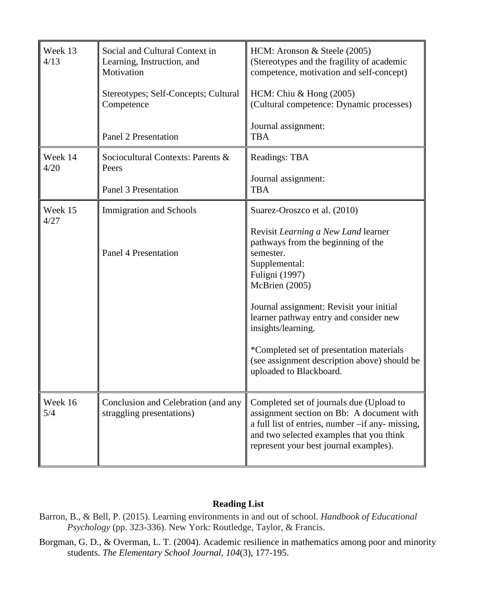| Week 13<br>4/13 | Social and Cultural Context in<br>Learning, Instruction, and<br>Motivation<br>Stereotypes; Self-Concepts; Cultural<br>Competence | HCM: Aronson & Steele (2005)<br>(Stereotypes and the fragility of academic<br>competence, motivation and self-concept)<br>HCM: Chiu $&$ Hong (2005)<br>(Cultural competence: Dynamic processes)                                                                                                                                                                                       |
|-----------------|----------------------------------------------------------------------------------------------------------------------------------|---------------------------------------------------------------------------------------------------------------------------------------------------------------------------------------------------------------------------------------------------------------------------------------------------------------------------------------------------------------------------------------|
|                 | <b>Panel 2 Presentation</b>                                                                                                      | Journal assignment:<br><b>TBA</b>                                                                                                                                                                                                                                                                                                                                                     |
| Week 14<br>4/20 | Sociocultural Contexts: Parents &<br>Peers                                                                                       | Readings: TBA<br>Journal assignment:                                                                                                                                                                                                                                                                                                                                                  |
|                 | <b>Panel 3 Presentation</b>                                                                                                      | <b>TBA</b>                                                                                                                                                                                                                                                                                                                                                                            |
| Week 15<br>4/27 | <b>Immigration and Schools</b>                                                                                                   | Suarez-Oroszco et al. (2010)                                                                                                                                                                                                                                                                                                                                                          |
|                 | <b>Panel 4 Presentation</b>                                                                                                      | Revisit Learning a New Land learner<br>pathways from the beginning of the<br>semester.<br>Supplemental:<br><b>Fuligni</b> (1997)<br>McBrien (2005)<br>Journal assignment: Revisit your initial<br>learner pathway entry and consider new<br>insights/learning.<br>*Completed set of presentation materials<br>(see assignment description above) should be<br>uploaded to Blackboard. |
| Week 16<br>5/4  | Conclusion and Celebration (and any<br>straggling presentations)                                                                 | Completed set of journals due (Upload to<br>assignment section on Bb: A document with<br>a full list of entries, number -if any- missing,<br>and two selected examples that you think<br>represent your best journal examples).                                                                                                                                                       |

## **Reading List**

- Barron, B., & Bell, P. (2015). Learning environments in and out of school. *Handbook of Educational Psychology* (pp. 323-336). New York: Routledge, Taylor, & Francis.
- Borgman, G. D., & Overman, L. T. (2004). Academic resilience in mathematics among poor and minority students. *The Elementary School Journal, 104*(3), 177-195.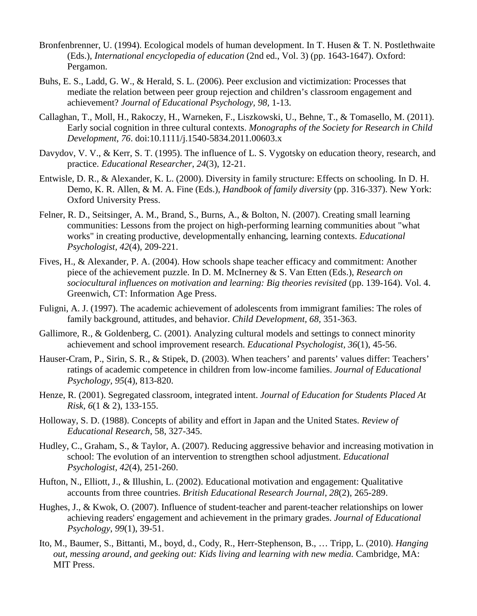- Bronfenbrenner, U. (1994). Ecological models of human development. In T. Husen & T. N. Postlethwaite (Eds.), *International encyclopedia of education* (2nd ed., Vol. 3) (pp. 1643-1647). Oxford: Pergamon.
- Buhs, E. S., Ladd, G. W., & Herald, S. L. (2006). Peer exclusion and victimization: Processes that mediate the relation between peer group rejection and children's classroom engagement and achievement? *Journal of Educational Psychology, 98,* 1-13.
- Callaghan, T., Moll, H., Rakoczy, H., Warneken, F., Liszkowski, U., Behne, T., & Tomasello, M. (2011). Early social cognition in three cultural contexts. *Monographs of the Society for Research in Child Development*, *76*. doi:10.1111/j.1540-5834.2011.00603.x
- Davydov, V. V., & Kerr, S. T. (1995). The influence of L. S. Vygotsky on education theory, research, and practice. *Educational Researcher*, *24*(3), 12-21.
- Entwisle, D. R., & Alexander, K. L. (2000). Diversity in family structure: Effects on schooling. In D. H. Demo, K. R. Allen, & M. A. Fine (Eds.), *Handbook of family diversity* (pp. 316-337). New York: Oxford University Press.
- Felner, R. D., Seitsinger, A. M., Brand, S., Burns, A., & Bolton, N. (2007). Creating small learning communities: Lessons from the project on high-performing learning communities about "what works" in creating productive, developmentally enhancing, learning contexts. *Educational Psychologist, 42*(4), 209-221.
- Fives, H., & Alexander, P. A. (2004). How schools shape teacher efficacy and commitment: Another piece of the achievement puzzle. In D. M. McInerney & S. Van Etten (Eds.), *Research on sociocultural influences on motivation and learning: Big theories revisited* (pp. 139-164). Vol. 4. Greenwich, CT: Information Age Press.
- Fuligni, A. J. (1997). The academic achievement of adolescents from immigrant families: The roles of family background, attitudes, and behavior. *Child Development, 68,* 351-363.
- Gallimore, R., & Goldenberg, C. (2001). Analyzing cultural models and settings to connect minority achievement and school improvement research. *Educational Psychologist, 36*(1), 45-56.
- Hauser-Cram, P., Sirin, S. R., & Stipek, D. (2003). When teachers' and parents' values differ: Teachers' ratings of academic competence in children from low-income families. *Journal of Educational Psychology, 95*(4), 813-820.
- Henze, R. (2001). Segregated classroom, integrated intent. *Journal of Education for Students Placed At Risk, 6*(1 & 2), 133-155.
- Holloway, S. D. (1988). Concepts of ability and effort in Japan and the United States. *Review of Educational Research*, 58, 327-345.
- Hudley, C., Graham, S., & Taylor, A. (2007). Reducing aggressive behavior and increasing motivation in school: The evolution of an intervention to strengthen school adjustment. *Educational Psychologist, 42*(4), 251-260.
- Hufton, N., Elliott, J., & Illushin, L. (2002). Educational motivation and engagement: Qualitative accounts from three countries. *British Educational Research Journal*, *28*(2), 265-289.
- Hughes, J., & Kwok, O. (2007). Influence of student-teacher and parent-teacher relationships on lower achieving readers' engagement and achievement in the primary grades. *Journal of Educational Psychology*, *99*(1), 39-51.
- Ito, M., Baumer, S., Bittanti, M., boyd, d., Cody, R., Herr-Stephenson, B., … Tripp, L. (2010). *Hanging out, messing around, and geeking out: Kids living and learning with new media.* Cambridge, MA: MIT Press.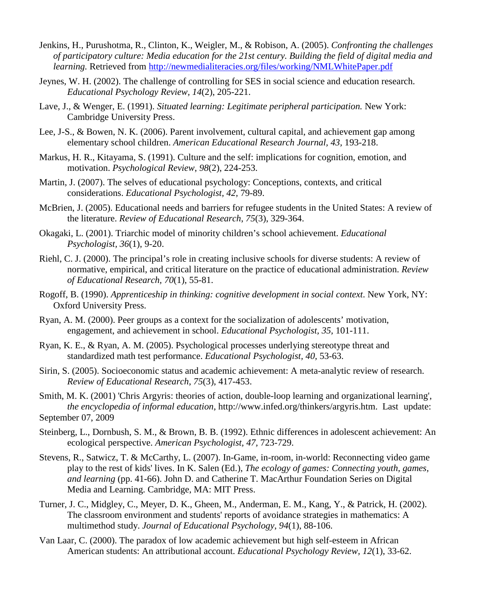- Jenkins, H., Purushotma, R., Clinton, K., Weigler, M., & Robison, A. (2005). *Confronting the challenges of participatory culture: Media education for the 21st century. Building the field of digital media and learning.* Retrieved from<http://newmedialiteracies.org/files/working/NMLWhitePaper.pdf>
- Jeynes, W. H. (2002). The challenge of controlling for SES in social science and education research. *Educational Psychology Review, 14*(2), 205-221.
- Lave, J., & Wenger, E. (1991). *Situated learning: Legitimate peripheral participation.* New York: Cambridge University Press.
- Lee, J-S., & Bowen, N. K. (2006). Parent involvement, cultural capital, and achievement gap among elementary school children. *American Educational Research Journal, 43,* 193-218.
- Markus, H. R., Kitayama, S. (1991). Culture and the self: implications for cognition, emotion, and motivation. *Psychological Review*, *98*(2), 224-253.
- Martin, J. (2007). The selves of educational psychology: Conceptions, contexts, and critical considerations. *Educational Psychologist, 42,* 79-89.
- McBrien, J. (2005). Educational needs and barriers for refugee students in the United States: A review of the literature. *Review of Educational Research*, *75*(3), 329-364.
- Okagaki, L. (2001). Triarchic model of minority children's school achievement. *Educational Psychologist, 36*(1), 9-20.
- Riehl, C. J. (2000). The principal's role in creating inclusive schools for diverse students: A review of normative, empirical, and critical literature on the practice of educational administration. *Review of Educational Research, 70*(1), 55-81.
- Rogoff, B. (1990). *Apprenticeship in thinking: cognitive development in social context*. New York, NY: Oxford University Press.
- Ryan, A. M. (2000). Peer groups as a context for the socialization of adolescents' motivation, engagement, and achievement in school. *Educational Psychologist, 35,* 101-111.
- Ryan, K. E., & Ryan, A. M. (2005). Psychological processes underlying stereotype threat and standardized math test performance. *Educational Psychologist, 40,* 53-63.
- Sirin, S. (2005). Socioeconomic status and academic achievement: A meta-analytic review of research. *Review of Educational Research*, *75*(3), 417-453.
- Smith, M. K. (2001) 'Chris Argyris: theories of action, double-loop learning and organizational learning', *the encyclopedia of informal education*, http://www.infed.org/thinkers/argyris.htm. Last update: September 07, 2009
- Steinberg, L., Dornbush, S. M., & Brown, B. B. (1992). Ethnic differences in adolescent achievement: An ecological perspective. *American Psychologist, 47,* 723-729.
- Stevens, R., Satwicz, T. & McCarthy, L. (2007). In-Game, in-room, in-world: Reconnecting video game play to the rest of kids' lives. In K. Salen (Ed.), *The ecology of games: Connecting youth, games, and learning* (pp. 41-66). John D. and Catherine T. MacArthur Foundation Series on Digital Media and Learning. Cambridge, MA: MIT Press.
- Turner, J. C., Midgley, C., Meyer, D. K., Gheen, M., Anderman, E. M., Kang, Y., & Patrick, H. (2002). The classroom environment and students' reports of avoidance strategies in mathematics: A multimethod study. *Journal of Educational Psychology*, *94*(1), 88-106.
- Van Laar, C. (2000). The paradox of low academic achievement but high self-esteem in African American students: An attributional account. *Educational Psychology Review, 12*(1), 33-62.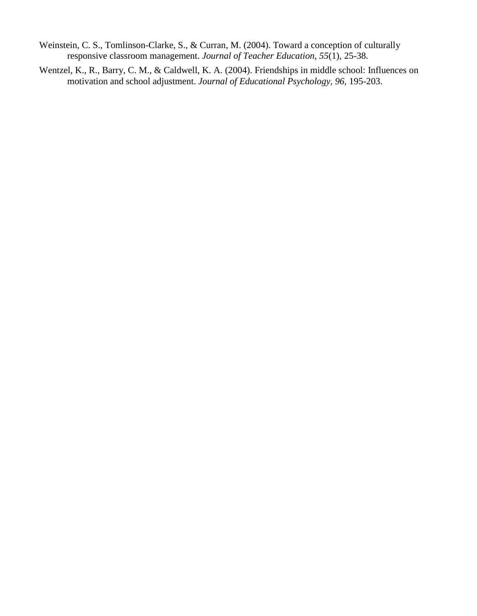- Weinstein, C. S., Tomlinson-Clarke, S., & Curran, M. (2004). Toward a conception of culturally responsive classroom management. *Journal of Teacher Education, 55*(1), 25-38.
- Wentzel, K., R., Barry, C. M., & Caldwell, K. A. (2004). Friendships in middle school: Influences on motivation and school adjustment. *Journal of Educational Psychology, 96,* 195-203.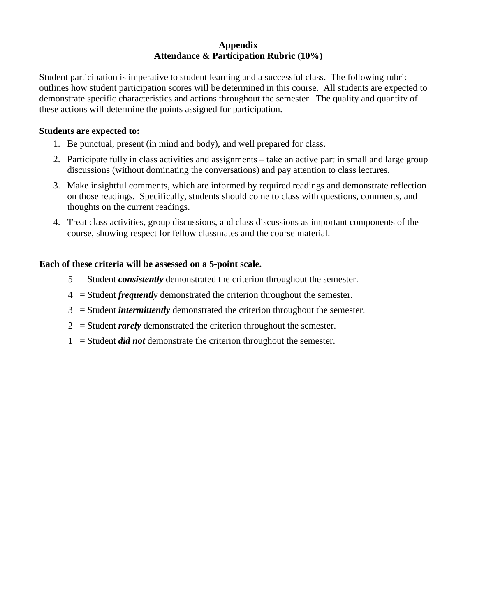#### **Appendix Attendance & Participation Rubric (10%)**

Student participation is imperative to student learning and a successful class. The following rubric outlines how student participation scores will be determined in this course. All students are expected to demonstrate specific characteristics and actions throughout the semester. The quality and quantity of these actions will determine the points assigned for participation.

### **Students are expected to:**

- 1. Be punctual, present (in mind and body), and well prepared for class.
- 2. Participate fully in class activities and assignments take an active part in small and large group discussions (without dominating the conversations) and pay attention to class lectures.
- 3. Make insightful comments, which are informed by required readings and demonstrate reflection on those readings. Specifically, students should come to class with questions, comments, and thoughts on the current readings.
- 4. Treat class activities, group discussions, and class discussions as important components of the course, showing respect for fellow classmates and the course material.

# **Each of these criteria will be assessed on a 5-point scale.**

- 5 = Student *consistently* demonstrated the criterion throughout the semester.
- 4 = Student *frequently* demonstrated the criterion throughout the semester.
- 3 = Student *intermittently* demonstrated the criterion throughout the semester.
- 2 = Student *rarely* demonstrated the criterion throughout the semester.
- 1 = Student *did not* demonstrate the criterion throughout the semester.